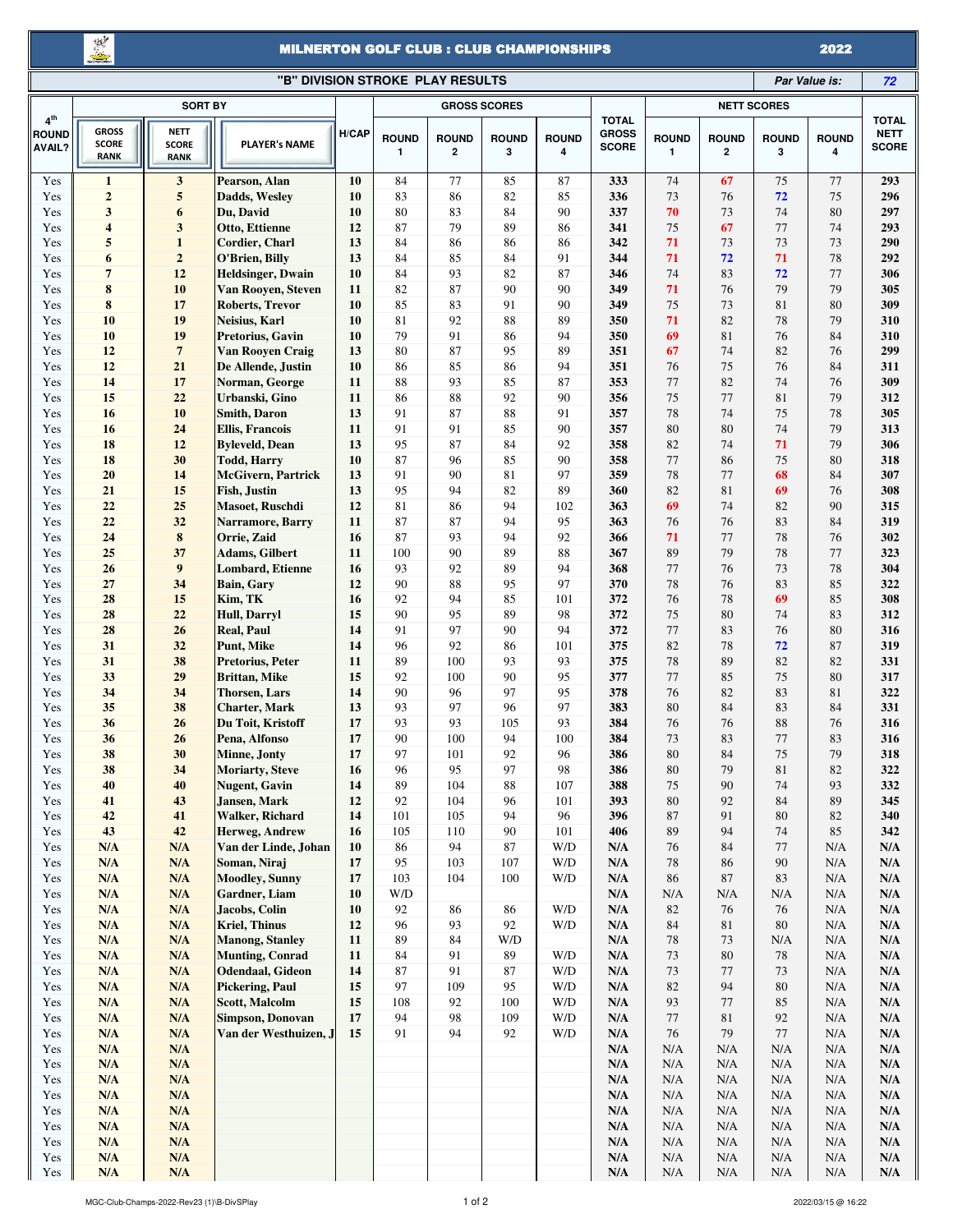豊

## MILNERTON GOLF CLUB : CLUB CHAMPIONSHIPS

2022

| "B" DIVISION STROKE PLAY RESULTS<br>Par Value is: |                                             |                                                    |                                              |          |                   |                              |                     |                   |                                              |                              |                              |                   | 72                |                                             |
|---------------------------------------------------|---------------------------------------------|----------------------------------------------------|----------------------------------------------|----------|-------------------|------------------------------|---------------------|-------------------|----------------------------------------------|------------------------------|------------------------------|-------------------|-------------------|---------------------------------------------|
| <b>SORT BY</b>                                    |                                             |                                                    |                                              |          |                   |                              | <b>GROSS SCORES</b> |                   |                                              |                              |                              |                   |                   |                                             |
| 4 <sup>th</sup><br><b>ROUND</b><br><b>AVAIL?</b>  | <b>GROSS</b><br><b>SCORE</b><br><b>RANK</b> | <b>NETT</b><br><b>SCORE</b><br><b>RANK</b>         | <b>PLAYER's NAME</b>                         | H/CAP    | <b>ROUND</b><br>1 | <b>ROUND</b><br>$\mathbf{2}$ | <b>ROUND</b><br>3   | <b>ROUND</b><br>4 | <b>TOTAL</b><br><b>GROSS</b><br><b>SCORE</b> | <b>ROUND</b><br>$\mathbf{1}$ | <b>ROUND</b><br>$\mathbf{2}$ | <b>ROUND</b><br>3 | <b>ROUND</b><br>4 | <b>TOTAL</b><br><b>NETT</b><br><b>SCORE</b> |
| Yes                                               | $\mathbf{1}$                                | $\mathbf{3}$                                       | Pearson, Alan                                | 10       | 84                | $77\,$                       | 85                  | 87                | 333                                          | 74                           | 67                           | 75                | 77                | 293                                         |
| Yes                                               | $\boldsymbol{2}$                            | $\sqrt{5}$                                         | Dadds, Wesley                                | 10       | 83                | 86                           | 82                  | 85                | 336                                          | 73                           | 76                           | 72                | 75                | 296                                         |
| Yes                                               | $\mathbf{3}$                                | 6                                                  | Du, David                                    | 10       | 80                | 83                           | 84                  | 90                | 337                                          | 70                           | 73                           | 74                | 80                | 297                                         |
| Yes                                               | $\overline{\bf 4}$                          | 3                                                  | Otto, Ettienne                               | 12       | 87                | 79                           | 89                  | 86                | 341                                          | 75                           | 67                           | 77                | 74                | 293                                         |
| Yes                                               | 5                                           | $\mathbf{1}$                                       | <b>Cordier, Charl</b>                        | 13       | 84                | 86                           | 86                  | 86                | 342                                          | 71                           | 73                           | 73                | 73                | 290                                         |
| Yes                                               | 6                                           | $\bf 2$                                            | O'Brien, Billy                               | 13       | 84                | 85                           | 84                  | 91                | 344                                          | 71                           | 72                           | 71                | 78                | 292                                         |
| Yes                                               | $7\phantom{.0}$                             | 12                                                 | <b>Heldsinger</b> , Dwain                    | 10       | 84                | 93                           | 82                  | 87                | 346                                          | 74                           | 83                           | 72                | 77                | 306                                         |
| Yes                                               | 8                                           | 10                                                 | Van Rooyen, Steven                           | 11       | 82                | 87                           | 90                  | 90                | 349                                          | 71                           | 76                           | 79                | 79                | 305                                         |
| Yes                                               | ${\bf 8}$                                   | 17                                                 | Roberts, Trevor                              | 10       | 85                | 83                           | 91                  | 90                | 349                                          | 75                           | 73                           | 81                | $80\,$            | 309                                         |
| Yes                                               | 10                                          | 19                                                 | Neisius, Karl                                | 10       | 81                | 92                           | 88                  | 89                | 350                                          | 71                           | 82                           | 78                | 79                | 310                                         |
| Yes<br>Yes                                        | 10<br>12                                    | 19<br>$\overline{7}$                               | Pretorius, Gavin                             | 10<br>13 | 79<br>80          | 91<br>87                     | 86<br>95            | 94<br>89          | 350<br>351                                   | 69<br>67                     | 81<br>74                     | 76<br>82          | 84<br>76          | 310<br>299                                  |
| Yes                                               | 12                                          | 21                                                 | Van Rooyen Craig<br>De Allende, Justin       | 10       | 86                | 85                           | 86                  | 94                | 351                                          | 76                           | 75                           | 76                | 84                | 311                                         |
| Yes                                               | 14                                          | 17                                                 | Norman, George                               | 11       | 88                | 93                           | 85                  | 87                | 353                                          | 77                           | 82                           | 74                | 76                | 309                                         |
| Yes                                               | 15                                          | 22                                                 | Urbanski, Gino                               | 11       | 86                | 88                           | 92                  | 90                | 356                                          | 75                           | 77                           | 81                | 79                | 312                                         |
| Yes                                               | 16                                          | 10                                                 | <b>Smith, Daron</b>                          | 13       | 91                | 87                           | 88                  | 91                | 357                                          | 78                           | 74                           | 75                | 78                | 305                                         |
| Yes                                               | 16                                          | 24                                                 | <b>Ellis, Francois</b>                       | 11       | 91                | 91                           | 85                  | 90                | 357                                          | 80                           | 80                           | 74                | 79                | 313                                         |
| Yes                                               | 18                                          | 12                                                 | <b>Byleveld</b> , Dean                       | 13       | 95                | 87                           | 84                  | 92                | 358                                          | 82                           | 74                           | 71                | 79                | 306                                         |
| Yes                                               | 18                                          | 30                                                 | <b>Todd, Harry</b>                           | 10       | 87                | 96                           | 85                  | 90                | 358                                          | 77                           | 86                           | 75                | $80\,$            | 318                                         |
| Yes                                               | 20                                          | 14                                                 | <b>McGivern, Partrick</b>                    | 13       | 91                | 90                           | 81                  | 97                | 359                                          | 78                           | 77                           | 68                | 84                | 307                                         |
| Yes                                               | 21                                          | 15                                                 | Fish, Justin                                 | 13       | 95                | 94                           | 82                  | 89                | 360                                          | 82                           | 81                           | 69                | 76                | 308                                         |
| Yes                                               | 22                                          | 25                                                 | Masoet, Ruschdi                              | 12       | 81                | 86                           | 94                  | 102               | 363                                          | 69                           | 74                           | 82                | 90                | 315                                         |
| Yes                                               | 22                                          | 32                                                 | Narramore, Barry                             | 11       | 87                | 87                           | 94                  | 95                | 363                                          | 76                           | 76                           | 83                | 84                | 319                                         |
| Yes                                               | 24                                          | 8<br>37                                            | Orrie, Zaid                                  | 16       | 87                | 93                           | 94<br>89            | 92                | 366                                          | 71                           | 77<br>79                     | 78                | 76                | 302                                         |
| Yes<br>Yes                                        | 25<br>26                                    | 9                                                  | <b>Adams, Gilbert</b><br>Lombard, Etienne    | 11<br>16 | 100<br>93         | 90<br>92                     | 89                  | 88<br>94          | 367<br>368                                   | 89<br>77                     | 76                           | 78<br>73          | 77<br>78          | 323<br>304                                  |
| Yes                                               | 27                                          | 34                                                 | Bain, Gary                                   | 12       | 90                | 88                           | 95                  | 97                | 370                                          | 78                           | 76                           | 83                | 85                | 322                                         |
| Yes                                               | 28                                          | 15                                                 | Kim, TK                                      | 16       | 92                | 94                           | 85                  | 101               | 372                                          | 76                           | 78                           | 69                | 85                | 308                                         |
| Yes                                               | 28                                          | 22                                                 | <b>Hull, Darryl</b>                          | 15       | 90                | 95                           | 89                  | 98                | 372                                          | 75                           | 80                           | 74                | 83                | 312                                         |
| Yes                                               | 28                                          | 26                                                 | <b>Real, Paul</b>                            | 14       | 91                | 97                           | 90                  | 94                | 372                                          | 77                           | 83                           | 76                | 80                | 316                                         |
| Yes                                               | 31                                          | 32                                                 | Punt, Mike                                   | 14       | 96                | 92                           | 86                  | 101               | 375                                          | 82                           | 78                           | 72                | 87                | 319                                         |
| Yes                                               | 31                                          | 38                                                 | Pretorius, Peter                             | 11       | 89                | 100                          | 93                  | 93                | 375                                          | 78                           | 89                           | 82                | 82                | 331                                         |
| Yes                                               | 33                                          | 29                                                 | <b>Brittan</b> , Mike                        | 15       | 92                | 100                          | 90                  | 95                | 377                                          | 77                           | 85                           | 75                | 80                | 317                                         |
| Yes                                               | 34                                          | 34                                                 | <b>Thorsen, Lars</b>                         | 14       | 90                | 96                           | 97                  | 95                | 378                                          | 76                           | 82                           | 83                | 81                | 322                                         |
| Yes                                               | 35                                          | 38                                                 | <b>Charter, Mark</b>                         | 13       | 93                | 97                           | 96                  | 97                | 383                                          | 80                           | 84                           | 83                | 84                | 331                                         |
| Yes                                               | 36                                          | 26                                                 | Du Toit, Kristoff                            | 17       | 93                | 93                           | 105                 | 93                | 384                                          | 76                           | 76                           | 88                | 76                | 316                                         |
| Yes<br>Yes                                        | 36<br>38                                    | 26<br>30                                           | Pena, Alfonso<br><b>Minne</b> , <b>Jonty</b> | 17<br>17 | 90<br>97          | 100<br>101                   | 94<br>92            | 100<br>96         | 384<br>386                                   | 73<br>80                     | 83<br>84                     | $77\,$<br>75      | 83<br>79          | 316<br>318                                  |
| Yes                                               | 38                                          | 34                                                 | Moriarty, Steve                              | 16       | 96                | 95                           | 97                  | 98                | 386                                          | $80\,$                       | 79                           | $8\sqrt{1}$       | 82                | 322                                         |
| Yes                                               | 40                                          | 40                                                 | <b>Nugent</b> , Gavin                        | 14       | 89                | 104                          | 88                  | 107               | 388                                          | 75                           | 90                           | 74                | 93                | 332                                         |
| Yes                                               | 41                                          | 43                                                 | Jansen, Mark                                 | 12       | 92                | 104                          | 96                  | 101               | 393                                          | 80                           | 92                           | 84                | 89                | 345                                         |
| Yes                                               | 42                                          | 41                                                 | <b>Walker, Richard</b>                       | 14       | 101               | 105                          | 94                  | 96                | 396                                          | 87                           | 91                           | 80                | 82                | 340                                         |
| Yes                                               | 43                                          | 42                                                 | Herweg, Andrew                               | 16       | 105               | 110                          | 90                  | 101               | 406                                          | 89                           | 94                           | 74                | 85                | 342                                         |
| Yes                                               | N/A                                         | N/A                                                | Van der Linde, Johan                         | 10       | 86                | 94                           | 87                  | W/D               | N/A                                          | 76                           | 84                           | 77                | N/A               | $\mathbf{N}/\mathbf{A}$                     |
| Yes                                               | N/A                                         | N/A                                                | Soman, Niraj                                 | 17       | 95                | 103                          | 107                 | W/D               | N/A                                          | 78                           | 86                           | 90                | N/A               | N/A                                         |
| Yes                                               | N/A                                         | $\mathbf{N}/\mathbf{A}$                            | <b>Moodley, Sunny</b>                        | 17       | 103               | 104                          | 100                 | W/D               | N/A                                          | 86                           | $87\,$                       | 83                | N/A               | $\mathbf{N}/\mathbf{A}$                     |
| Yes                                               | N/A                                         | N/A                                                | Gardner, Liam                                | 10       | W/D               |                              |                     |                   | N/A                                          | N/A                          | N/A                          | N/A               | N/A               | N/A                                         |
| Yes                                               | N/A                                         | $\mathbf{N}/\mathbf{A}$                            | Jacobs, Colin                                | 10       | 92                | 86                           | 86                  | W/D               | N/A                                          | 82                           | 76                           | 76                | N/A               | $\mathbf{N}/\mathbf{A}$                     |
| Yes<br>Yes                                        | N/A<br>N/A                                  | N/A<br>N/A                                         | Kriel, Thinus<br><b>Manong, Stanley</b>      | 12<br>11 | 96<br>89          | 93<br>84                     | 92<br>W/D           | W/D               | N/A<br>N/A                                   | 84<br>78                     | 81<br>73                     | 80<br>N/A         | N/A<br>N/A        | N/A<br>N/A                                  |
| Yes                                               | N/A                                         | N/A                                                | <b>Munting, Conrad</b>                       | 11       | 84                | 91                           | 89                  | W/D               | N/A                                          | 73                           | 80                           | 78                | N/A               | $\mathbf{N}/\mathbf{A}$                     |
| Yes                                               | N/A                                         | N/A                                                | Odendaal, Gideon                             | 14       | 87                | 91                           | 87                  | W/D               | N/A                                          | 73                           | 77                           | 73                | N/A               | $\mathbf{N}/\mathbf{A}$                     |
| Yes                                               | N/A                                         | N/A                                                | <b>Pickering, Paul</b>                       | 15       | 97                | 109                          | 95                  | W/D               | N/A                                          | 82                           | 94                           | 80                | N/A               | N/A                                         |
| Yes                                               | N/A                                         | N/A                                                | Scott, Malcolm                               | 15       | 108               | 92                           | 100                 | W/D               | N/A                                          | 93                           | 77                           | 85                | N/A               | N/A                                         |
| Yes                                               | N/A                                         | $\mathbf{N}/\mathbf{A}$                            | Simpson, Donovan                             | 17       | 94                | 98                           | 109                 | W/D               | N/A                                          | 77                           | 81                           | 92                | N/A               | $\mathbf{N}/\mathbf{A}$                     |
| Yes                                               | N/A                                         | N/A                                                | Van der Westhuizen, J                        | 15       | 91                | 94                           | 92                  | W/D               | N/A                                          | 76                           | 79                           | 77                | N/A               | N/A                                         |
| Yes                                               | N/A                                         | N/A                                                |                                              |          |                   |                              |                     |                   | N/A                                          | N/A                          | N/A                          | N/A               | N/A               | N/A                                         |
| Yes                                               | N/A                                         | $\mathbf{N}/\mathbf{A}$                            |                                              |          |                   |                              |                     |                   | N/A                                          | N/A                          | N/A                          | N/A               | N/A               | $\mathbf{N}/\mathbf{A}$                     |
| Yes                                               | N/A                                         | $\mathbf{N}/\mathbf{A}$                            |                                              |          |                   |                              |                     |                   | N/A                                          | N/A                          | $\rm N/A$                    | N/A               | N/A               | N/A                                         |
| Yes                                               | N/A                                         | N/A                                                |                                              |          |                   |                              |                     |                   | N/A                                          | N/A                          | N/A                          | N/A               | N/A               | N/A                                         |
| Yes<br>Yes                                        | N/A<br>N/A                                  | $\mathbf{N}/\mathbf{A}$<br>$\mathbf{N}/\mathbf{A}$ |                                              |          |                   |                              |                     |                   | N/A<br>N/A                                   | N/A<br>N/A                   | N/A<br>$\rm N/A$             | N/A<br>N/A        | N/A<br>N/A        | $\mathbf{N}/\mathbf{A}$<br>N/A              |
| Yes                                               | N/A                                         | N/A                                                |                                              |          |                   |                              |                     |                   | N/A                                          | N/A                          | N/A                          | N/A               | N/A               | N/A                                         |
| Yes                                               | N/A                                         | N/A                                                |                                              |          |                   |                              |                     |                   | N/A                                          | N/A                          | $\rm N/A$                    | N/A               | N/A               | $\mathbf{N}/\mathbf{A}$                     |
| Yes                                               | N/A                                         | N/A                                                |                                              |          |                   |                              |                     |                   | N/A                                          | $\rm N/A$                    | $\rm N/A$                    | $\rm N/A$         | $\rm N/A$         | N/A                                         |